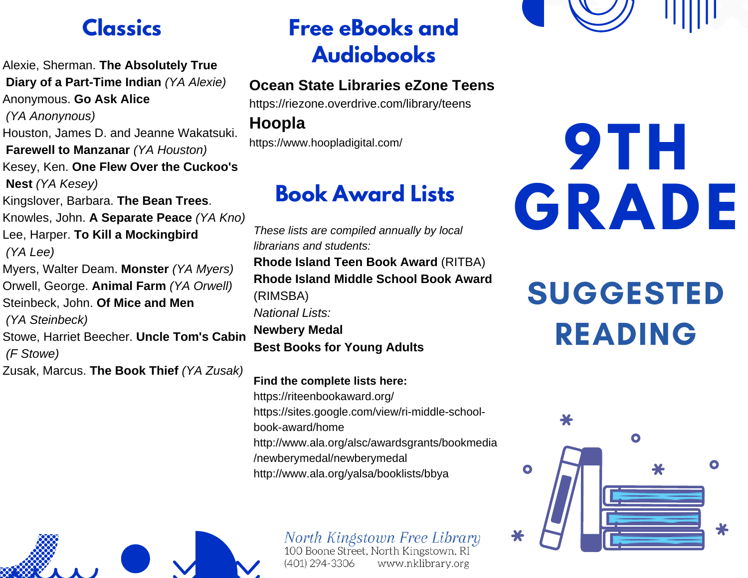Alexie, Sherman. **The Absolutely True Diary of a Part-Time Indian** *(YA Alexie)* Anonymous. **Go Ask Alice** *(YA Anonynous)* Houston, James D. and Jeanne Wakatsuki. **Farewell to Manzanar** *(YA Houston)* Kesey, Ken. **One Flew Over the Cuckoo's Nest** *(YA Kesey)* Kingslover, Barbara. **The Bean Trees**. Knowles, John. **A Separate Peace** *(YA Kno)* Lee, Harper. **To Kill a Mockingbird** *(YA Lee)* Myers, Walter Deam. **Monster** *(YA Myers)* Orwell, George. **Animal Farm** *(YA Orwell)* Steinbeck, John. **Of Mice and Men** *(YA Steinbeck)* Stowe, Harriet Beecher. **Uncle Tom's Cabin** *(F Stowe)* Zusak, Marcus. **The Book Thief** *(YA Zusak)*

## **Classics Free eBooks and Audiobooks**

## **Ocean State Libraries eZone Teens**

https://riezone.overdrive.com/library/teens

## **Hoopla**

https://www.hoopladigital.com/

## **Book Award Lists**

*These lists are compiled annually by local librarians and students:* **Rhode Island Teen Book Award** (RITBA) **Rhode Island Middle School Book Award** (RIMSBA) *National Lists:* **Newbery Medal Best Books for Young Adults**

**Find the complete lists here:** https://riteenbookaward.org/ https://sites.google.com/view/ri-middle-schoolbook-award/home http://www.ala.org/alsc/awardsgrants/bookmedia /newberymedal/newberymedal

http://www.ala.org/yalsa/booklists/bbya

# **9TH GRADE**

## SUGGESTED READING





North Kingstown Free Library 100 Boone Street, North Kingstown, RI (401) 294-3306 www.nklibrary.org